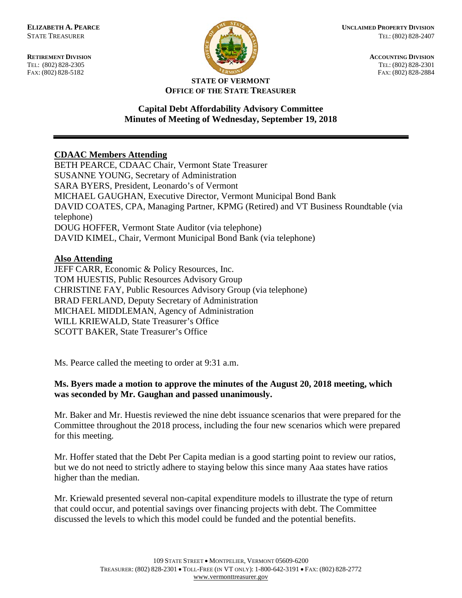FAX: (802) 828-5182



**RETIREMENT DIVISION ACCOUNTING DIVISION** TEL: (802) 828-2305<br>
FAX: (802) 828-2305<br>
FAX: (802) 828-2384<br>
TEL: (802) 828-2305<br>
FAX: (802) 828-2884

#### **STATE OF VERMONT OFFICE OF THE STATE TREASURER**

# **Capital Debt Affordability Advisory Committee Minutes of Meeting of Wednesday, September 19, 2018**

# **CDAAC Members Attending**

BETH PEARCE, CDAAC Chair, Vermont State Treasurer SUSANNE YOUNG, Secretary of Administration SARA BYERS, President, Leonardo's of Vermont MICHAEL GAUGHAN, Executive Director, Vermont Municipal Bond Bank DAVID COATES, CPA, Managing Partner, KPMG (Retired) and VT Business Roundtable (via telephone) DOUG HOFFER, Vermont State Auditor (via telephone) DAVID KIMEL, Chair, Vermont Municipal Bond Bank (via telephone)

#### **Also Attending**

JEFF CARR, Economic & Policy Resources, Inc. TOM HUESTIS, Public Resources Advisory Group CHRISTINE FAY, Public Resources Advisory Group (via telephone) BRAD FERLAND, Deputy Secretary of Administration MICHAEL MIDDLEMAN, Agency of Administration WILL KRIEWALD, State Treasurer's Office SCOTT BAKER, State Treasurer's Office

Ms. Pearce called the meeting to order at 9:31 a.m.

# **Ms. Byers made a motion to approve the minutes of the August 20, 2018 meeting, which was seconded by Mr. Gaughan and passed unanimously.**

Mr. Baker and Mr. Huestis reviewed the nine debt issuance scenarios that were prepared for the Committee throughout the 2018 process, including the four new scenarios which were prepared for this meeting.

Mr. Hoffer stated that the Debt Per Capita median is a good starting point to review our ratios, but we do not need to strictly adhere to staying below this since many Aaa states have ratios higher than the median.

Mr. Kriewald presented several non-capital expenditure models to illustrate the type of return that could occur, and potential savings over financing projects with debt. The Committee discussed the levels to which this model could be funded and the potential benefits.